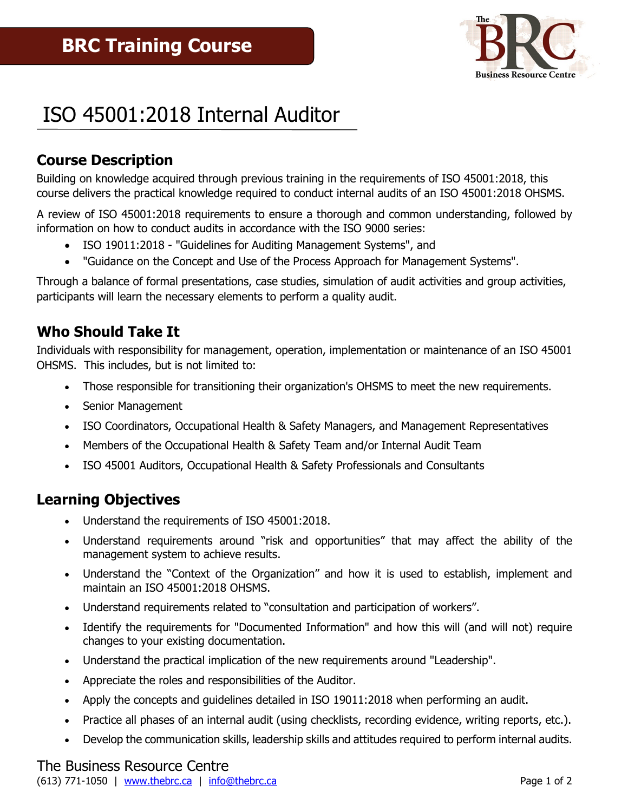

# ISO 45001:2018 Internal Auditor

# **Course Description**

Building on knowledge acquired through previous training in the requirements of ISO 45001:2018, this course delivers the practical knowledge required to conduct internal audits of an ISO 45001:2018 OHSMS.

A review of ISO 45001:2018 requirements to ensure a thorough and common understanding, followed by information on how to conduct audits in accordance with the ISO 9000 series:

- ISO 19011:2018 "Guidelines for Auditing Management Systems", and
- "Guidance on the Concept and Use of the Process Approach for Management Systems".

Through a balance of formal presentations, case studies, simulation of audit activities and group activities, participants will learn the necessary elements to perform a quality audit.

## **Who Should Take It**

Individuals with responsibility for management, operation, implementation or maintenance of an ISO 45001 OHSMS. This includes, but is not limited to:

- Those responsible for transitioning their organization's OHSMS to meet the new requirements.
- Senior Management
- ISO Coordinators, Occupational Health & Safety Managers, and Management Representatives
- Members of the Occupational Health & Safety Team and/or Internal Audit Team
- ISO 45001 Auditors, Occupational Health & Safety Professionals and Consultants

### **Learning Objectives**

- Understand the requirements of ISO 45001:2018.
- Understand requirements around "risk and opportunities" that may affect the ability of the management system to achieve results.
- Understand the "Context of the Organization" and how it is used to establish, implement and maintain an ISO 45001:2018 OHSMS.
- Understand requirements related to "consultation and participation of workers".
- Identify the requirements for "Documented Information" and how this will (and will not) require changes to your existing documentation.
- Understand the practical implication of the new requirements around "Leadership".
- Appreciate the roles and responsibilities of the Auditor.
- Apply the concepts and guidelines detailed in ISO 19011:2018 when performing an audit.
- Practice all phases of an internal audit (using checklists, recording evidence, writing reports, etc.).
- Develop the communication skills, leadership skills and attitudes required to perform internal audits.

#### The Business Resource Centre (613) 771-1050 | [www.thebrc.ca](http://www.thebrc.ca/) | [info@thebrc.ca](mailto:info@thebrc.ca) |  $\frac{1}{2}$